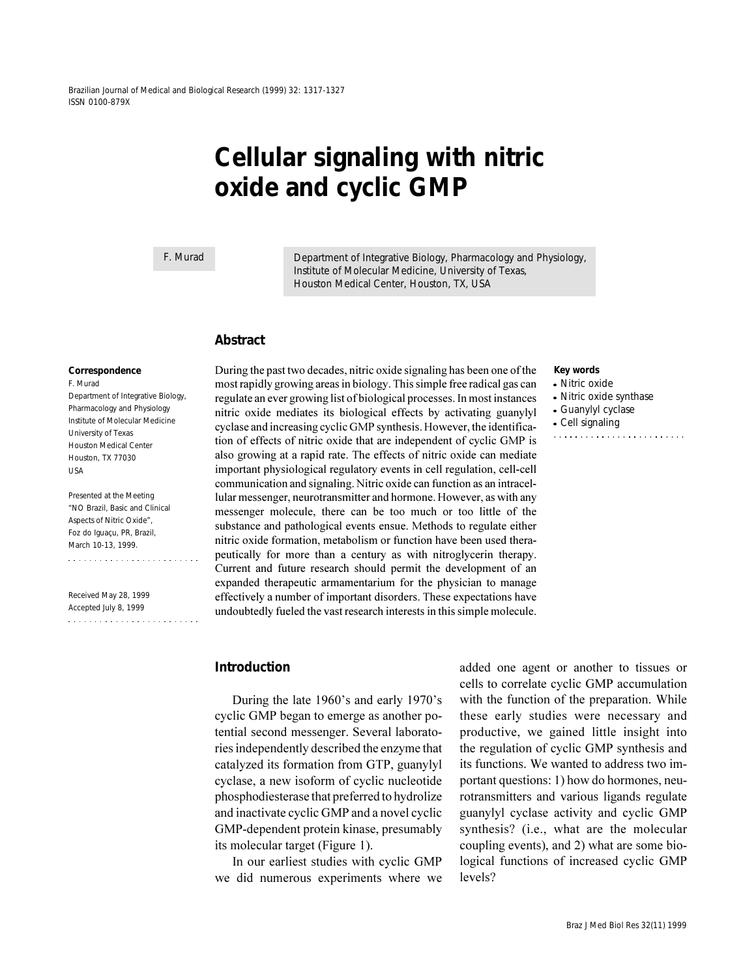# **Cellular signaling with nitric oxide and cyclic GMP**

F. Murad

Department of Integrative Biology, Pharmacology and Physiology, Institute of Molecular Medicine, University of Texas, Houston Medical Center, Houston, TX, USA

#### **Abstract**

#### **Correspondence**

**USA** 

F. Murad Department of Integrative Biology, Pharmacology and Physiology Institute of Molecular Medicine University of Texas Houston Medical Center Houston, TX 77030

Presented at the Meeting "NO Brazil, Basic and Clinical Aspects of Nitric Oxide", Foz do Iguaçu, PR, Brazil, March 10-13, 1999. 

Received May 28, 1999 Accepted July 8, 1999  During the past two decades, nitric oxide signaling has been one of the most rapidly growing areas in biology. This simple free radical gas can regulate an ever growing list of biological processes. In most instances nitric oxide mediates its biological effects by activating guanylyl cyclase and increasing cyclic GMP synthesis. However, the identification of effects of nitric oxide that are independent of cyclic GMP is also growing at a rapid rate. The effects of nitric oxide can mediate important physiological regulatory events in cell regulation, cell-cell communication and signaling. Nitric oxide can function as an intracellular messenger, neurotransmitter and hormone. However, as with any messenger molecule, there can be too much or too little of the substance and pathological events ensue. Methods to regulate either nitric oxide formation, metabolism or function have been used therapeutically for more than a century as with nitroglycerin therapy. Current and future research should permit the development of an expanded therapeutic armamentarium for the physician to manage effectively a number of important disorders. These expectations have undoubtedly fueled the vast research interests in this simple molecule.

#### **Key words**

- · Nitric oxide
- · Nitric oxide synthase
- · Guanylyl cyclase
- · Cell signaling
- 

#### **Introduction**

During the late 1960's and early 1970's cyclic GMP began to emerge as another potential second messenger. Several laboratories independently described the enzyme that catalyzed its formation from GTP, guanylyl cyclase, a new isoform of cyclic nucleotide phosphodiesterase that preferred to hydrolize and inactivate cyclic GMP and a novel cyclic GMP-dependent protein kinase, presumably its molecular target (Figure 1).

In our earliest studies with cyclic GMP we did numerous experiments where we added one agent or another to tissues or cells to correlate cyclic GMP accumulation with the function of the preparation. While these early studies were necessary and productive, we gained little insight into the regulation of cyclic GMP synthesis and its functions. We wanted to address two important questions: 1) how do hormones, neurotransmitters and various ligands regulate guanylyl cyclase activity and cyclic GMP synthesis? (i.e., what are the molecular coupling events), and 2) what are some biological functions of increased cyclic GMP levels?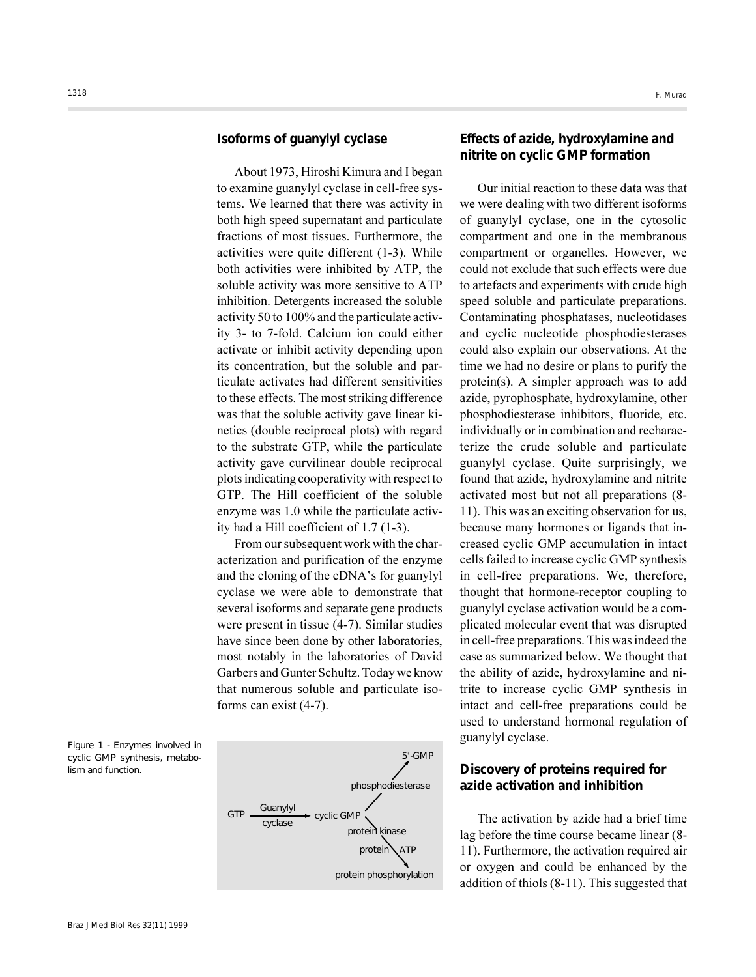#### **Isoforms of guanylyl cyclase**

About 1973, Hiroshi Kimura and I began to examine guanylyl cyclase in cell-free systems. We learned that there was activity in both high speed supernatant and particulate fractions of most tissues. Furthermore, the activities were quite different (1-3). While both activities were inhibited by ATP, the soluble activity was more sensitive to ATP inhibition. Detergents increased the soluble activity 50 to 100% and the particulate activity 3- to 7-fold. Calcium ion could either activate or inhibit activity depending upon its concentration, but the soluble and particulate activates had different sensitivities to these effects. The most striking difference was that the soluble activity gave linear kinetics (double reciprocal plots) with regard to the substrate GTP, while the particulate activity gave curvilinear double reciprocal plots indicating cooperativity with respect to GTP. The Hill coefficient of the soluble enzyme was 1.0 while the particulate activity had a Hill coefficient of 1.7 (1-3).

From our subsequent work with the characterization and purification of the enzyme and the cloning of the cDNA's for guanylyl cyclase we were able to demonstrate that several isoforms and separate gene products were present in tissue (4-7). Similar studies have since been done by other laboratories, most notably in the laboratories of David Garbers and Gunter Schultz. Today we know that numerous soluble and particulate isoforms can exist (4-7).

5-GMP

protein phosphorylation



# **Effects of azide, hydroxylamine and nitrite on cyclic GMP formation**

Our initial reaction to these data was that we were dealing with two different isoforms of guanylyl cyclase, one in the cytosolic compartment and one in the membranous compartment or organelles. However, we could not exclude that such effects were due to artefacts and experiments with crude high speed soluble and particulate preparations. Contaminating phosphatases, nucleotidases and cyclic nucleotide phosphodiesterases could also explain our observations. At the time we had no desire or plans to purify the protein(s). A simpler approach was to add azide, pyrophosphate, hydroxylamine, other phosphodiesterase inhibitors, fluoride, etc. individually or in combination and recharacterize the crude soluble and particulate guanylyl cyclase. Quite surprisingly, we found that azide, hydroxylamine and nitrite activated most but not all preparations (8- 11). This was an exciting observation for us, because many hormones or ligands that increased cyclic GMP accumulation in intact cells failed to increase cyclic GMP synthesis in cell-free preparations. We, therefore, thought that hormone-receptor coupling to guanylyl cyclase activation would be a complicated molecular event that was disrupted in cell-free preparations. This was indeed the case as summarized below. We thought that the ability of azide, hydroxylamine and nitrite to increase cyclic GMP synthesis in intact and cell-free preparations could be used to understand hormonal regulation of guanylyl cyclase.

#### **Discovery of proteins required for azide activation and inhibition**

The activation by azide had a brief time lag before the time course became linear (8- 11). Furthermore, the activation required air or oxygen and could be enhanced by the addition of thiols (8-11). This suggested that

Figure 1 - Enzymes involved in cyclic GMP synthesis, metabolism and function.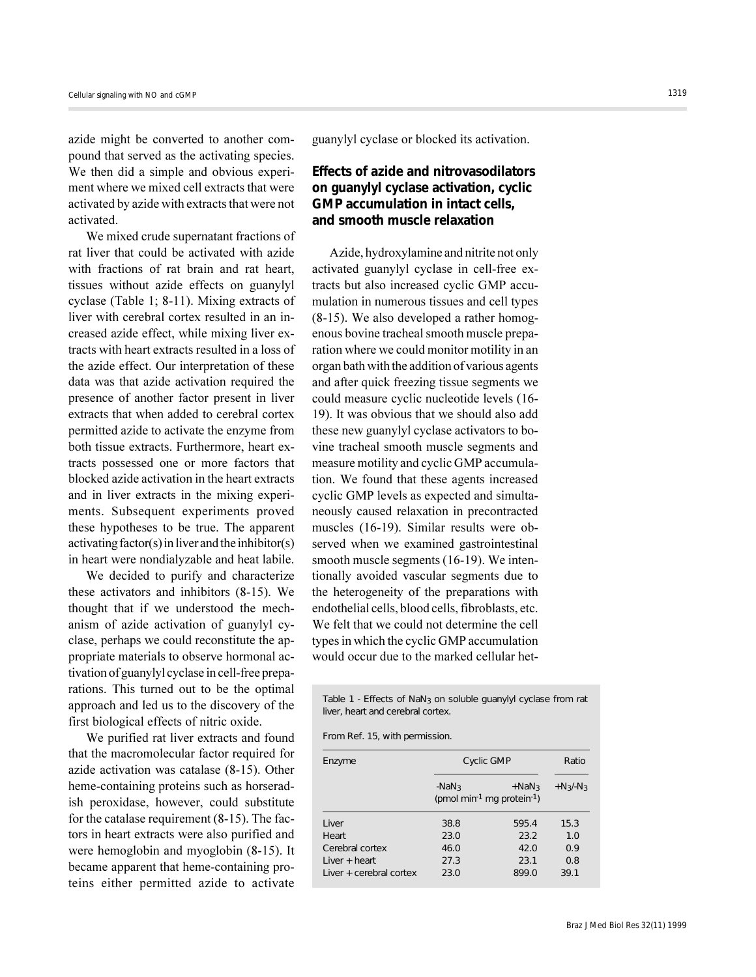azide might be converted to another compound that served as the activating species. We then did a simple and obvious experiment where we mixed cell extracts that were activated by azide with extracts that were not activated.

We mixed crude supernatant fractions of rat liver that could be activated with azide with fractions of rat brain and rat heart, tissues without azide effects on guanylyl cyclase (Table 1; 8-11). Mixing extracts of liver with cerebral cortex resulted in an increased azide effect, while mixing liver extracts with heart extracts resulted in a loss of the azide effect. Our interpretation of these data was that azide activation required the presence of another factor present in liver extracts that when added to cerebral cortex permitted azide to activate the enzyme from both tissue extracts. Furthermore, heart extracts possessed one or more factors that blocked azide activation in the heart extracts and in liver extracts in the mixing experiments. Subsequent experiments proved these hypotheses to be true. The apparent activating factor(s) in liver and the inhibitor(s) in heart were nondialyzable and heat labile.

We decided to purify and characterize these activators and inhibitors (8-15). We thought that if we understood the mechanism of azide activation of guanylyl cyclase, perhaps we could reconstitute the appropriate materials to observe hormonal activation of guanylyl cyclase in cell-free preparations. This turned out to be the optimal approach and led us to the discovery of the first biological effects of nitric oxide.

We purified rat liver extracts and found that the macromolecular factor required for azide activation was catalase (8-15). Other heme-containing proteins such as horseradish peroxidase, however, could substitute for the catalase requirement (8-15). The factors in heart extracts were also purified and were hemoglobin and myoglobin (8-15). It became apparent that heme-containing proteins either permitted azide to activate

guanylyl cyclase or blocked its activation.

# **Effects of azide and nitrovasodilators on guanylyl cyclase activation, cyclic GMP accumulation in intact cells, and smooth muscle relaxation**

Azide, hydroxylamine and nitrite not only activated guanylyl cyclase in cell-free extracts but also increased cyclic GMP accumulation in numerous tissues and cell types (8-15). We also developed a rather homogenous bovine tracheal smooth muscle preparation where we could monitor motility in an organ bath with the addition of various agents and after quick freezing tissue segments we could measure cyclic nucleotide levels (16- 19). It was obvious that we should also add these new guanylyl cyclase activators to bovine tracheal smooth muscle segments and measure motility and cyclic GMP accumulation. We found that these agents increased cyclic GMP levels as expected and simultaneously caused relaxation in precontracted muscles (16-19). Similar results were observed when we examined gastrointestinal smooth muscle segments (16-19). We intentionally avoided vascular segments due to the heterogeneity of the preparations with endothelial cells, blood cells, fibroblasts, etc. We felt that we could not determine the cell types in which the cyclic GMP accumulation would occur due to the marked cellular het-

Table 1 - Effects of NaN<sub>3</sub> on soluble guanylyl cyclase from rat liver, heart and cerebral cortex.

From Ref. 15, with permission.

| Enzyme                  | Cyclic GMP                                                                |       | Ratio      |
|-------------------------|---------------------------------------------------------------------------|-------|------------|
|                         | $-NaN3$<br>$+$ NaN <sub>3</sub><br>(pmol min $^{-1}$ mg protein $^{-1}$ ) |       | $+N_3/N_3$ |
| I iver                  | 38.8                                                                      | 595.4 | 15.3       |
| Heart                   | 23.0                                                                      | 23.2  | 1.0        |
| Cerebral cortex         | 46.0                                                                      | 42.0  | 0.9        |
| $liver + heart$         | 27.3                                                                      | 23.1  | 0.8        |
| Liver + cerebral cortex | 23.0                                                                      | 899.0 | 39.1       |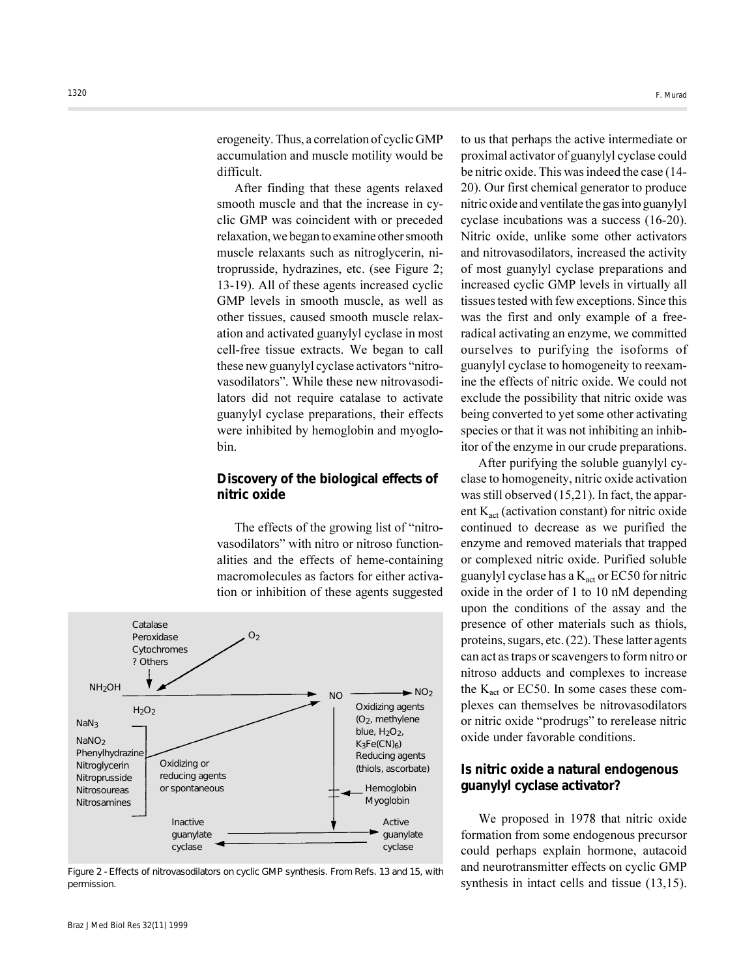erogeneity. Thus, a correlation of cyclic GMP accumulation and muscle motility would be difficult.

After finding that these agents relaxed smooth muscle and that the increase in cyclic GMP was coincident with or preceded relaxation, we began to examine other smooth muscle relaxants such as nitroglycerin, nitroprusside, hydrazines, etc. (see Figure 2; 13-19). All of these agents increased cyclic GMP levels in smooth muscle, as well as other tissues, caused smooth muscle relaxation and activated guanylyl cyclase in most cell-free tissue extracts. We began to call these new guanylyl cyclase activators "nitrovasodilators". While these new nitrovasodilators did not require catalase to activate guanylyl cyclase preparations, their effects were inhibited by hemoglobin and myoglobin.

# **Discovery of the biological effects of nitric oxide**

The effects of the growing list of "nitrovasodilators" with nitro or nitroso functionalities and the effects of heme-containing macromolecules as factors for either activation or inhibition of these agents suggested



Figure 2 - Effects of nitrovasodilators on cyclic GMP synthesis. From Refs. 13 and 15, with permission.

to us that perhaps the active intermediate or proximal activator of guanylyl cyclase could be nitric oxide. This was indeed the case (14- 20). Our first chemical generator to produce nitric oxide and ventilate the gas into guanylyl cyclase incubations was a success (16-20). Nitric oxide, unlike some other activators and nitrovasodilators, increased the activity of most guanylyl cyclase preparations and increased cyclic GMP levels in virtually all tissues tested with few exceptions. Since this was the first and only example of a freeradical activating an enzyme, we committed ourselves to purifying the isoforms of guanylyl cyclase to homogeneity to reexamine the effects of nitric oxide. We could not exclude the possibility that nitric oxide was being converted to yet some other activating species or that it was not inhibiting an inhibitor of the enzyme in our crude preparations.

After purifying the soluble guanylyl cyclase to homogeneity, nitric oxide activation was still observed (15,21). In fact, the apparent  $K_{\text{act}}$  (activation constant) for nitric oxide continued to decrease as we purified the enzyme and removed materials that trapped or complexed nitric oxide. Purified soluble guanylyl cyclase has a  $K_{act}$  or EC50 for nitric oxide in the order of 1 to 10 nM depending upon the conditions of the assay and the presence of other materials such as thiols, proteins, sugars, etc. (22). These latter agents can act as traps or scavengers to form nitro or nitroso adducts and complexes to increase the  $K_{\text{act}}$  or EC50. In some cases these complexes can themselves be nitrovasodilators or nitric oxide "prodrugs" to rerelease nitric oxide under favorable conditions.

# **Is nitric oxide a natural endogenous guanylyl cyclase activator?**

We proposed in 1978 that nitric oxide formation from some endogenous precursor could perhaps explain hormone, autacoid and neurotransmitter effects on cyclic GMP synthesis in intact cells and tissue (13,15).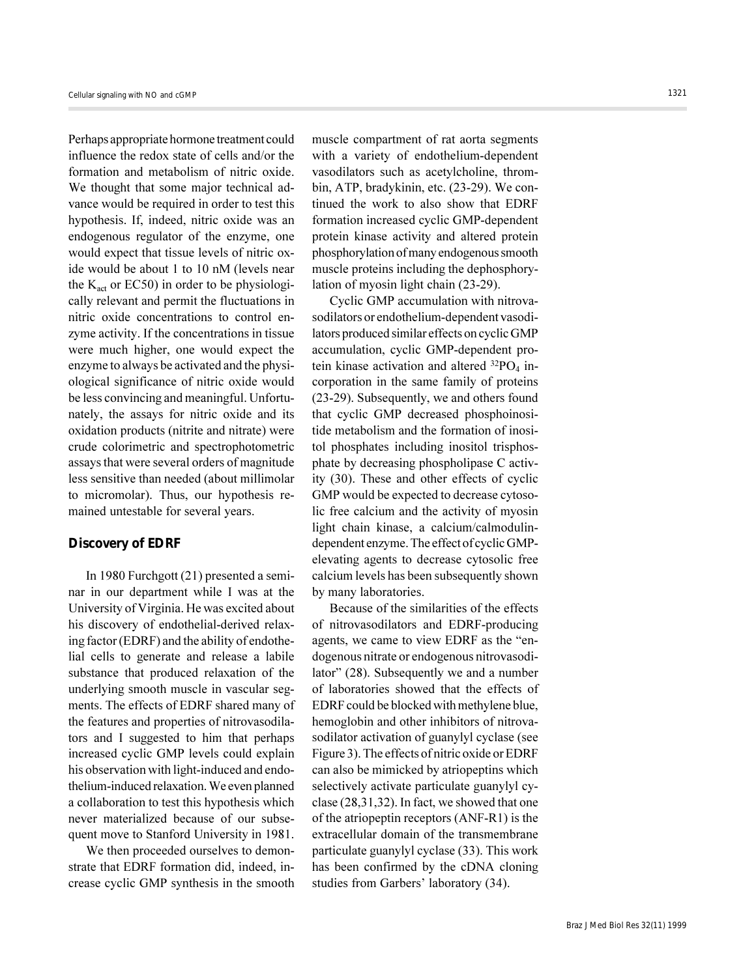Perhaps appropriate hormone treatment could influence the redox state of cells and/or the formation and metabolism of nitric oxide. We thought that some major technical advance would be required in order to test this hypothesis. If, indeed, nitric oxide was an endogenous regulator of the enzyme, one would expect that tissue levels of nitric oxide would be about 1 to 10 nM (levels near the  $K_{act}$  or EC50) in order to be physiologically relevant and permit the fluctuations in nitric oxide concentrations to control enzyme activity. If the concentrations in tissue were much higher, one would expect the enzyme to always be activated and the physiological significance of nitric oxide would be less convincing and meaningful. Unfortunately, the assays for nitric oxide and its oxidation products (nitrite and nitrate) were crude colorimetric and spectrophotometric assays that were several orders of magnitude less sensitive than needed (about millimolar to micromolar). Thus, our hypothesis remained untestable for several years.

#### **Discovery of EDRF**

In 1980 Furchgott (21) presented a seminar in our department while I was at the University of Virginia. He was excited about his discovery of endothelial-derived relaxing factor (EDRF) and the ability of endothelial cells to generate and release a labile substance that produced relaxation of the underlying smooth muscle in vascular segments. The effects of EDRF shared many of the features and properties of nitrovasodilators and I suggested to him that perhaps increased cyclic GMP levels could explain his observation with light-induced and endothelium-induced relaxation. We even planned a collaboration to test this hypothesis which never materialized because of our subsequent move to Stanford University in 1981.

We then proceeded ourselves to demonstrate that EDRF formation did, indeed, increase cyclic GMP synthesis in the smooth muscle compartment of rat aorta segments with a variety of endothelium-dependent vasodilators such as acetylcholine, thrombin, ATP, bradykinin, etc. (23-29). We continued the work to also show that EDRF formation increased cyclic GMP-dependent protein kinase activity and altered protein phosphorylation of many endogenous smooth muscle proteins including the dephosphorylation of myosin light chain (23-29).

Cyclic GMP accumulation with nitrovasodilators or endothelium-dependent vasodilators produced similar effects on cyclic GMP accumulation, cyclic GMP-dependent protein kinase activation and altered  ${}^{32}PO_4$  incorporation in the same family of proteins (23-29). Subsequently, we and others found that cyclic GMP decreased phosphoinositide metabolism and the formation of inositol phosphates including inositol trisphosphate by decreasing phospholipase C activity (30). These and other effects of cyclic GMP would be expected to decrease cytosolic free calcium and the activity of myosin light chain kinase, a calcium/calmodulindependent enzyme. The effect of cyclic GMPelevating agents to decrease cytosolic free calcium levels has been subsequently shown by many laboratories.

Because of the similarities of the effects of nitrovasodilators and EDRF-producing agents, we came to view EDRF as the "endogenous nitrate or endogenous nitrovasodilator" (28). Subsequently we and a number of laboratories showed that the effects of EDRF could be blocked with methylene blue, hemoglobin and other inhibitors of nitrovasodilator activation of guanylyl cyclase (see Figure 3). The effects of nitric oxide or EDRF can also be mimicked by atriopeptins which selectively activate particulate guanylyl cyclase (28,31,32). In fact, we showed that one of the atriopeptin receptors (ANF-R1) is the extracellular domain of the transmembrane particulate guanylyl cyclase (33). This work has been confirmed by the cDNA cloning studies from Garbers' laboratory (34).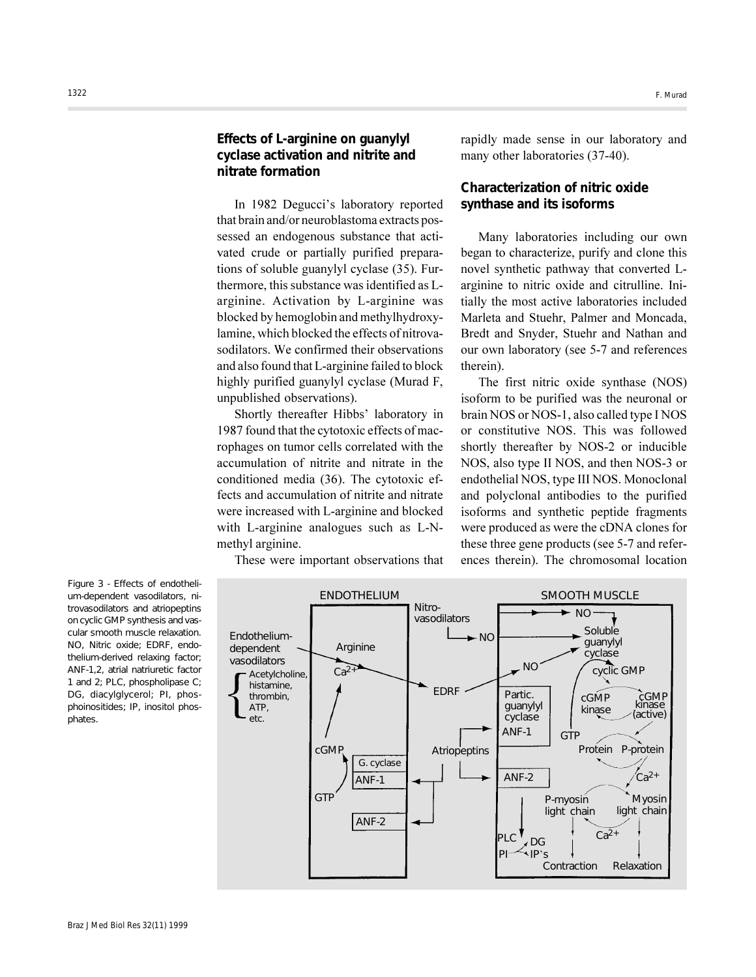# **Effects of L-arginine on guanylyl cyclase activation and nitrite and nitrate formation**

In 1982 Degucci's laboratory reported that brain and/or neuroblastoma extracts possessed an endogenous substance that activated crude or partially purified preparations of soluble guanylyl cyclase (35). Furthermore, this substance was identified as Larginine. Activation by L-arginine was blocked by hemoglobin and methylhydroxylamine, which blocked the effects of nitrovasodilators. We confirmed their observations and also found that L-arginine failed to block highly purified guanylyl cyclase (Murad F, unpublished observations).

Shortly thereafter Hibbs' laboratory in 1987 found that the cytotoxic effects of macrophages on tumor cells correlated with the accumulation of nitrite and nitrate in the conditioned media (36). The cytotoxic effects and accumulation of nitrite and nitrate were increased with L-arginine and blocked with L-arginine analogues such as L-Nmethyl arginine.

These were important observations that

rapidly made sense in our laboratory and many other laboratories (37-40).

# **Characterization of nitric oxide synthase and its isoforms**

Many laboratories including our own began to characterize, purify and clone this novel synthetic pathway that converted Larginine to nitric oxide and citrulline. Initially the most active laboratories included Marleta and Stuehr, Palmer and Moncada, Bredt and Snyder, Stuehr and Nathan and our own laboratory (see 5-7 and references therein).

The first nitric oxide synthase (NOS) isoform to be purified was the neuronal or brain NOS or NOS-1, also called type I NOS or constitutive NOS. This was followed shortly thereafter by NOS-2 or inducible NOS, also type II NOS, and then NOS-3 or endothelial NOS, type III NOS. Monoclonal and polyclonal antibodies to the purified isoforms and synthetic peptide fragments were produced as were the cDNA clones for these three gene products (see 5-7 and references therein). The chromosomal location

Figure 3 - Effects of endothelium-dependent vasodilators, nitrovasodilators and atriopeptins on cyclic GMP synthesis and vascular smooth muscle relaxation. NO, Nitric oxide; EDRF, endothelium-derived relaxing factor; ANF-1,2, atrial natriuretic factor 1 and 2; PLC, phospholipase C; DG, diacylglycerol; PI, phosphoinositides; IP, inositol phosphates.

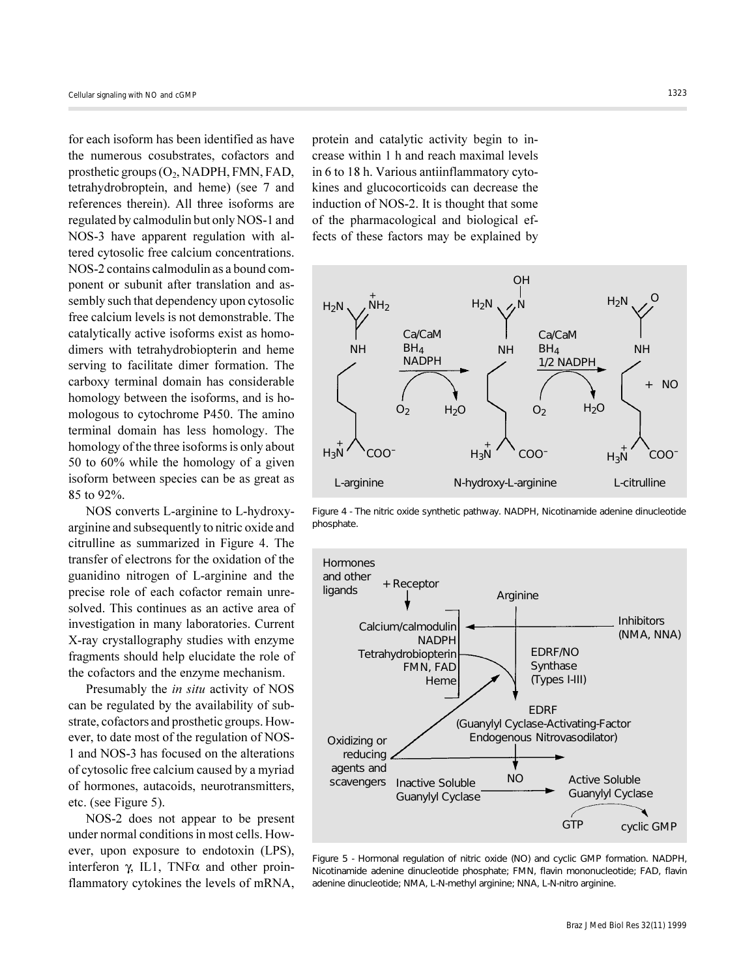for each isoform has been identified as have the numerous cosubstrates, cofactors and prosthetic groups  $(O_2, NADPH, FMN, FAD,$ tetrahydrobroptein, and heme) (see 7 and references therein). All three isoforms are regulated by calmodulin but only NOS-1 and NOS-3 have apparent regulation with altered cytosolic free calcium concentrations. NOS-2 contains calmodulin as a bound component or subunit after translation and assembly such that dependency upon cytosolic free calcium levels is not demonstrable. The catalytically active isoforms exist as homodimers with tetrahydrobiopterin and heme serving to facilitate dimer formation. The carboxy terminal domain has considerable homology between the isoforms, and is homologous to cytochrome P450. The amino terminal domain has less homology. The homology of the three isoforms is only about 50 to 60% while the homology of a given isoform between species can be as great as 85 to 92%.

NOS converts L-arginine to L-hydroxyarginine and subsequently to nitric oxide and citrulline as summarized in Figure 4. The transfer of electrons for the oxidation of the guanidino nitrogen of L-arginine and the precise role of each cofactor remain unresolved. This continues as an active area of investigation in many laboratories. Current X-ray crystallography studies with enzyme fragments should help elucidate the role of the cofactors and the enzyme mechanism.

Presumably the *in situ* activity of NOS can be regulated by the availability of substrate, cofactors and prosthetic groups. However, to date most of the regulation of NOS-1 and NOS-3 has focused on the alterations of cytosolic free calcium caused by a myriad of hormones, autacoids, neurotransmitters, etc. (see Figure 5).

NOS-2 does not appear to be present under normal conditions in most cells. However, upon exposure to endotoxin (LPS), interferon  $\gamma$ , IL1, TNF $\alpha$  and other proinflammatory cytokines the levels of mRNA,

protein and catalytic activity begin to increase within 1 h and reach maximal levels in 6 to 18 h. Various antiinflammatory cytokines and glucocorticoids can decrease the induction of NOS-2. It is thought that some of the pharmacological and biological effects of these factors may be explained by



Figure 4 - The nitric oxide synthetic pathway. NADPH, Nicotinamide adenine dinucleotide phosphate.



Figure 5 - Hormonal regulation of nitric oxide (NO) and cyclic GMP formation. NADPH, Nicotinamide adenine dinucleotide phosphate; FMN, flavin mononucleotide; FAD, flavin adenine dinucleotide; NMA, L-N-methyl arginine; NNA, L-N-nitro arginine.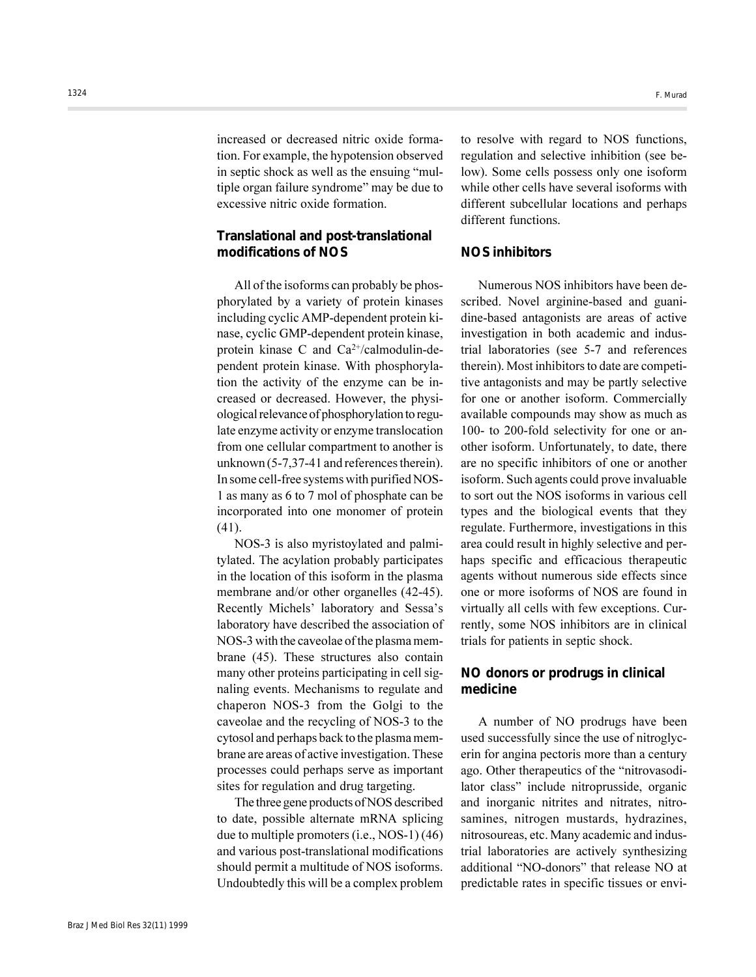increased or decreased nitric oxide formation. For example, the hypotension observed in septic shock as well as the ensuing "multiple organ failure syndrome" may be due to excessive nitric oxide formation.

# **Translational and post-translational modifications of NOS**

All of the isoforms can probably be phosphorylated by a variety of protein kinases including cyclic AMP-dependent protein kinase, cyclic GMP-dependent protein kinase, protein kinase C and Ca2+/calmodulin-dependent protein kinase. With phosphorylation the activity of the enzyme can be increased or decreased. However, the physiological relevance of phosphorylation to regulate enzyme activity or enzyme translocation from one cellular compartment to another is unknown (5-7,37-41 and references therein). In some cell-free systems with purified NOS-1 as many as 6 to 7 mol of phosphate can be incorporated into one monomer of protein (41).

NOS-3 is also myristoylated and palmitylated. The acylation probably participates in the location of this isoform in the plasma membrane and/or other organelles (42-45). Recently Michels' laboratory and Sessa's laboratory have described the association of NOS-3 with the caveolae of the plasma membrane (45). These structures also contain many other proteins participating in cell signaling events. Mechanisms to regulate and chaperon NOS-3 from the Golgi to the caveolae and the recycling of NOS-3 to the cytosol and perhaps back to the plasma membrane are areas of active investigation. These processes could perhaps serve as important sites for regulation and drug targeting.

The three gene products of NOS described to date, possible alternate mRNA splicing due to multiple promoters (i.e., NOS-1) (46) and various post-translational modifications should permit a multitude of NOS isoforms. Undoubtedly this will be a complex problem

to resolve with regard to NOS functions, regulation and selective inhibition (see below). Some cells possess only one isoform while other cells have several isoforms with different subcellular locations and perhaps different functions.

#### **NOS inhibitors**

Numerous NOS inhibitors have been described. Novel arginine-based and guanidine-based antagonists are areas of active investigation in both academic and industrial laboratories (see 5-7 and references therein). Most inhibitors to date are competitive antagonists and may be partly selective for one or another isoform. Commercially available compounds may show as much as 100- to 200-fold selectivity for one or another isoform. Unfortunately, to date, there are no specific inhibitors of one or another isoform. Such agents could prove invaluable to sort out the NOS isoforms in various cell types and the biological events that they regulate. Furthermore, investigations in this area could result in highly selective and perhaps specific and efficacious therapeutic agents without numerous side effects since one or more isoforms of NOS are found in virtually all cells with few exceptions. Currently, some NOS inhibitors are in clinical trials for patients in septic shock.

# **NO donors or prodrugs in clinical medicine**

A number of NO prodrugs have been used successfully since the use of nitroglycerin for angina pectoris more than a century ago. Other therapeutics of the "nitrovasodilator class" include nitroprusside, organic and inorganic nitrites and nitrates, nitrosamines, nitrogen mustards, hydrazines, nitrosoureas, etc. Many academic and industrial laboratories are actively synthesizing additional "NO-donors" that release NO at predictable rates in specific tissues or envi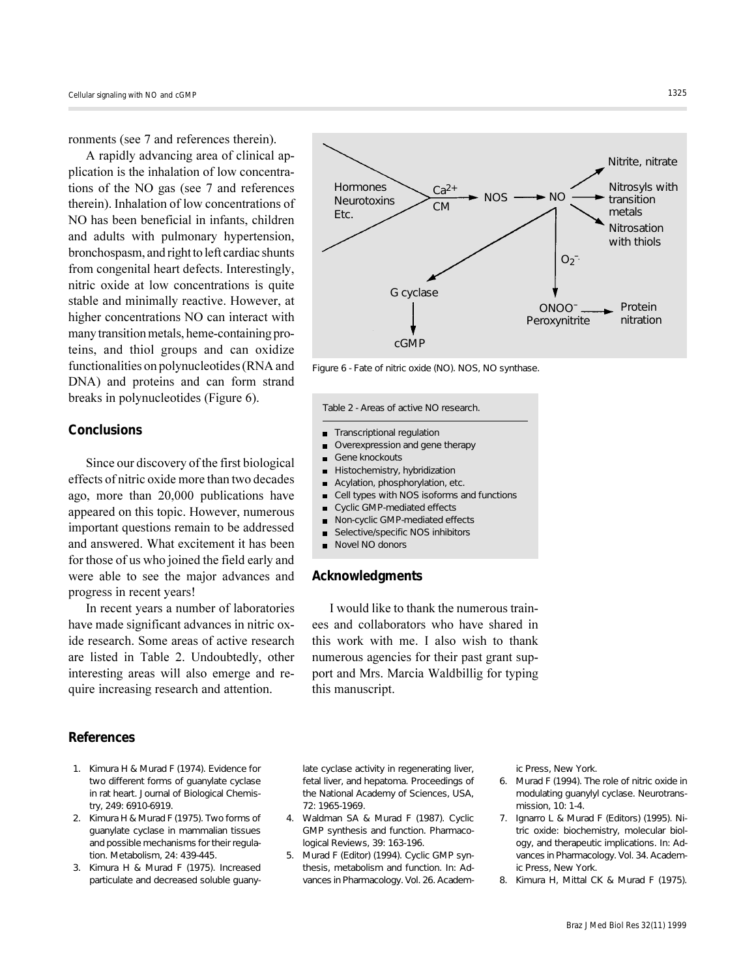ronments (see 7 and references therein).

A rapidly advancing area of clinical application is the inhalation of low concentrations of the NO gas (see 7 and references therein). Inhalation of low concentrations of NO has been beneficial in infants, children and adults with pulmonary hypertension, bronchospasm, and right to left cardiac shunts from congenital heart defects. Interestingly, nitric oxide at low concentrations is quite stable and minimally reactive. However, at higher concentrations NO can interact with many transition metals, heme-containing proteins, and thiol groups and can oxidize functionalities on polynucleotides (RNA and DNA) and proteins and can form strand breaks in polynucleotides (Figure 6).

#### **Conclusions**

Since our discovery of the first biological effects of nitric oxide more than two decades ago, more than 20,000 publications have appeared on this topic. However, numerous important questions remain to be addressed and answered. What excitement it has been for those of us who joined the field early and were able to see the major advances and progress in recent years!

In recent years a number of laboratories have made significant advances in nitric oxide research. Some areas of active research are listed in Table 2. Undoubtedly, other interesting areas will also emerge and require increasing research and attention.

# **References**

- 1. Kimura H & Murad F (1974). Evidence for two different forms of guanylate cyclase in rat heart. *Journal of Biological Chemistry*, 249: 6910-6919.
- 2. Kimura H & Murad F (1975). Two forms of guanylate cyclase in mammalian tissues and possible mechanisms for their regulation. *Metabolism*, 24: 439-445.
- 3. Kimura H & Murad F (1975). Increased particulate and decreased soluble guany-



Figure 6 - Fate of nitric oxide (NO). NOS, NO synthase.



- **Transcriptional regulation**
- Overexpression and gene therapy  $\blacksquare$
- Gene knockouts
- Histochemistry, hybridization
- **Acylation, phosphorylation, etc.**
- Cell types with NOS isoforms and functions
- Cyclic GMP-mediated effects  $\blacksquare$
- $\blacksquare$ Non-cyclic GMP-mediated effects
- Selective/specific NOS inhibitors
- Novel NO donors

#### **Acknowledgments**

I would like to thank the numerous trainees and collaborators who have shared in this work with me. I also wish to thank numerous agencies for their past grant support and Mrs. Marcia Waldbillig for typing this manuscript.

late cyclase activity in regenerating liver, fetal liver, and hepatoma. *Proceedings of the National Academy of Sciences, USA*, 72: 1965-1969.

- 4. Waldman SA & Murad F (1987). Cyclic GMP synthesis and function. *Pharmacological Reviews*, 39: 163-196.
- 5. Murad F (Editor) (1994). Cyclic GMP synthesis, metabolism and function. In: *Advances in Pharmacology*. Vol. 26. Academ-

ic Press, New York.

- 6. Murad F (1994). The role of nitric oxide in modulating guanylyl cyclase. *Neurotransmission*, 10: 1-4.
- 7. Ignarro L & Murad F (Editors) (1995). Nitric oxide: biochemistry, molecular biology, and therapeutic implications. In: *Advances in Pharmacology*. Vol. 34. Academic Press, New York.
- 8. Kimura H, Mittal CK & Murad F (1975).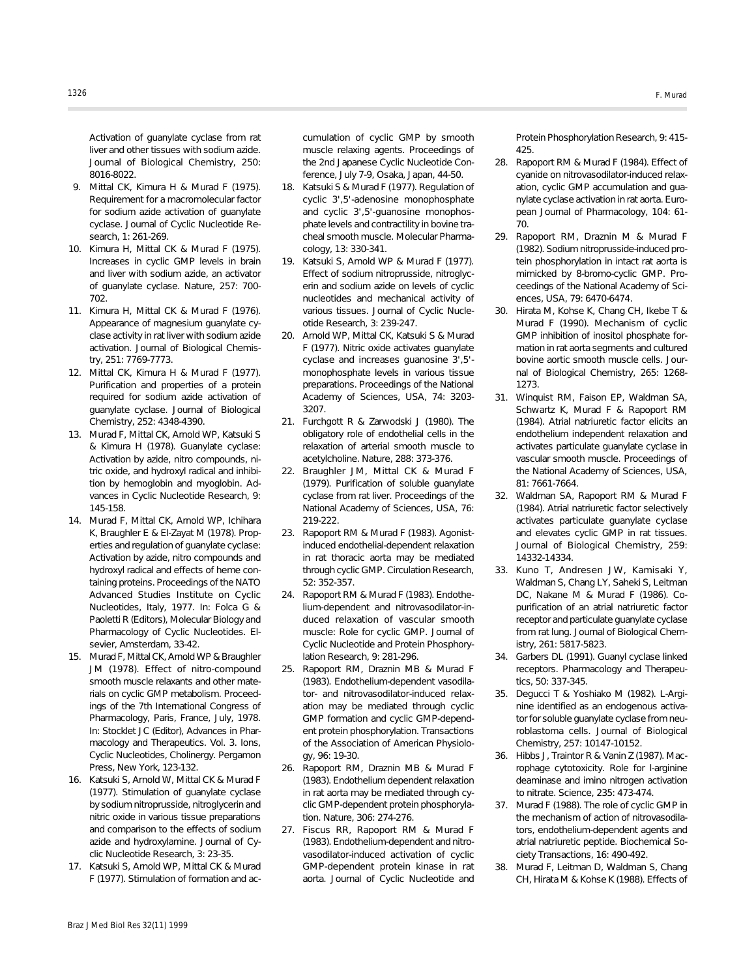Activation of guanylate cyclase from rat liver and other tissues with sodium azide. *Journal of Biological Chemistry*, 250: 8016-8022.

- 9. Mittal CK, Kimura H & Murad F (1975). Requirement for a macromolecular factor for sodium azide activation of guanylate cyclase. *Journal of Cyclic Nucleotide Research*, 1: 261-269.
- 10. Kimura H, Mittal CK & Murad F (1975). Increases in cyclic GMP levels in brain and liver with sodium azide, an activator of guanylate cyclase. *Nature*, 257: 700- 702.
- 11. Kimura H, Mittal CK & Murad F (1976). Appearance of magnesium guanylate cyclase activity in rat liver with sodium azide activation. *Journal of Biological Chemistry*, 251: 7769-7773.
- 12. Mittal CK, Kimura H & Murad F (1977). Purification and properties of a protein required for sodium azide activation of guanylate cyclase. *Journal of Biological Chemistry*, 252: 4348-4390.
- 13. Murad F, Mittal CK, Arnold WP, Katsuki S & Kimura H (1978). Guanylate cyclase: Activation by azide, nitro compounds, nitric oxide, and hydroxyl radical and inhibition by hemoglobin and myoglobin. *Advances in Cyclic Nucleotide Research*, 9: 145-158.
- 14. Murad F, Mittal CK, Arnold WP, Ichihara K, Braughler E & El-Zayat M (1978). Properties and regulation of guanylate cyclase: Activation by azide, nitro compounds and hydroxyl radical and effects of heme containing proteins. *Proceedings of the NATO Advanced Studies Institute on Cyclic Nucleotides*, Italy, 1977. In: Folca G & Paoletti R (Editors), *Molecular Biology and Pharmacology of Cyclic Nucleotides*. Elsevier, Amsterdam, 33-42.
- 15. Murad F, Mittal CK, Arnold WP & Braughler JM (1978). Effect of nitro-compound smooth muscle relaxants and other materials on cyclic GMP metabolism. *Proceedings of the 7th International Congress of Pharmacology*, Paris, France, July, 1978. In: Stocklet JC (Editor), *Advances in Pharmacology and Therapeutics. Vol. 3. Ions, Cyclic Nucleotides, Cholinergy*. Pergamon Press, New York, 123-132.
- 16. Katsuki S, Arnold W, Mittal CK & Murad F (1977). Stimulation of guanylate cyclase by sodium nitroprusside, nitroglycerin and nitric oxide in various tissue preparations and comparison to the effects of sodium azide and hydroxylamine. *Journal of Cyclic Nucleotide Research*, 3: 23-35.
- 17. Katsuki S, Arnold WP, Mittal CK & Murad F (1977). Stimulation of formation and ac-

cumulation of cyclic GMP by smooth muscle relaxing agents. *Proceedings of the 2nd Japanese Cyclic Nucleotide Conference*, July 7-9, Osaka, Japan, 44-50.

- 18. Katsuki S & Murad F (1977). Regulation of cyclic 3',5'-adenosine monophosphate and cyclic 3',5'-guanosine monophosphate levels and contractility in bovine tracheal smooth muscle. *Molecular Pharmacology*, 13: 330-341.
- 19. Katsuki S, Arnold WP & Murad F (1977). Effect of sodium nitroprusside, nitroglycerin and sodium azide on levels of cyclic nucleotides and mechanical activity of various tissues. *Journal of Cyclic Nucleotide Research*, 3: 239-247.
- 20. Arnold WP, Mittal CK, Katsuki S & Murad F (1977). Nitric oxide activates guanylate cyclase and increases guanosine 3',5' monophosphate levels in various tissue preparations. *Proceedings of the National Academy of Sciences, USA*, 74: 3203- 3207.
- 21. Furchgott R & Zarwodski J (1980). The obligatory role of endothelial cells in the relaxation of arterial smooth muscle to acetylcholine. *Nature*, 288: 373-376.
- 22. Braughler JM, Mittal CK & Murad F (1979). Purification of soluble guanylate cyclase from rat liver. *Proceedings of the National Academy of Sciences, USA*, 76: 219-222.
- 23. Rapoport RM & Murad F (1983). Agonistinduced endothelial-dependent relaxation in rat thoracic aorta may be mediated through cyclic GMP. *Circulation Research*, 52: 352-357.
- 24. Rapoport RM & Murad F (1983). Endothelium-dependent and nitrovasodilator-induced relaxation of vascular smooth muscle: Role for cyclic GMP. *Journal of Cyclic Nucleotide and Protein Phosphorylation Research*, 9: 281-296.
- 25. Rapoport RM, Draznin MB & Murad F (1983). Endothelium-dependent vasodilator- and nitrovasodilator-induced relaxation may be mediated through cyclic GMP formation and cyclic GMP-dependent protein phosphorylation. *Transactions of the Association of American Physiology*, 96: 19-30.
- 26. Rapoport RM, Draznin MB & Murad F (1983). Endothelium dependent relaxation in rat aorta may be mediated through cyclic GMP-dependent protein phosphorylation. *Nature*, 306: 274-276.
- 27. Fiscus RR, Rapoport RM & Murad F (1983). Endothelium-dependent and nitrovasodilator-induced activation of cyclic GMP-dependent protein kinase in rat aorta. *Journal of Cyclic Nucleotide and*

*Protein Phosphorylation Research*, 9: 415- 425.

- 28. Rapoport RM & Murad F (1984). Effect of cyanide on nitrovasodilator-induced relaxation, cyclic GMP accumulation and guanylate cyclase activation in rat aorta. *European Journal of Pharmacology*, 104: 61- 70.
- 29. Rapoport RM, Draznin M & Murad F (1982). Sodium nitroprusside-induced protein phosphorylation in intact rat aorta is mimicked by 8-bromo-cyclic GMP. *Proceedings of the National Academy of Sciences, USA*, 79: 6470-6474.
- 30. Hirata M, Kohse K, Chang CH, Ikebe T & Murad F (1990). Mechanism of cyclic GMP inhibition of inositol phosphate formation in rat aorta segments and cultured bovine aortic smooth muscle cells. *Journal of Biological Chemistry,* 265: 1268- 1273.
- 31. Winquist RM, Faison EP, Waldman SA, Schwartz K, Murad F & Rapoport RM (1984). Atrial natriuretic factor elicits an endothelium independent relaxation and activates particulate guanylate cyclase in vascular smooth muscle. *Proceedings of the National Academy of Sciences, USA*, 81: 7661-7664.
- 32. Waldman SA, Rapoport RM & Murad F (1984). Atrial natriuretic factor selectively activates particulate guanylate cyclase and elevates cyclic GMP in rat tissues. *Journal of Biological Chemistry*, 259: 14332-14334.
- 33. Kuno T, Andresen JW, Kamisaki Y, Waldman S, Chang LY, Saheki S, Leitman DC, Nakane M & Murad F (1986). Copurification of an atrial natriuretic factor receptor and particulate guanylate cyclase from rat lung. *Journal of Biological Chemistry*, 261: 5817-5823.
- 34. Garbers DL (1991). Guanyl cyclase linked receptors. *Pharmacology and Therapeutics*, 50: 337-345.
- 35. Degucci T & Yoshiako M (1982). L-Arginine identified as an endogenous activator for soluble guanylate cyclase from neuroblastoma cells. *Journal of Biological Chemistry*, 257: 10147-10152.
- 36. Hibbs J, Traintor R & Vanin Z (1987). Macrophage cytotoxicity. Role for l-arginine deaminase and imino nitrogen activation to nitrate. *Science*, 235: 473-474.
- 37. Murad F (1988). The role of cyclic GMP in the mechanism of action of nitrovasodilators, endothelium-dependent agents and atrial natriuretic peptide. *Biochemical Society Transactions*, 16: 490-492.
- 38. Murad F, Leitman D, Waldman S, Chang CH, Hirata M & Kohse K (1988). Effects of